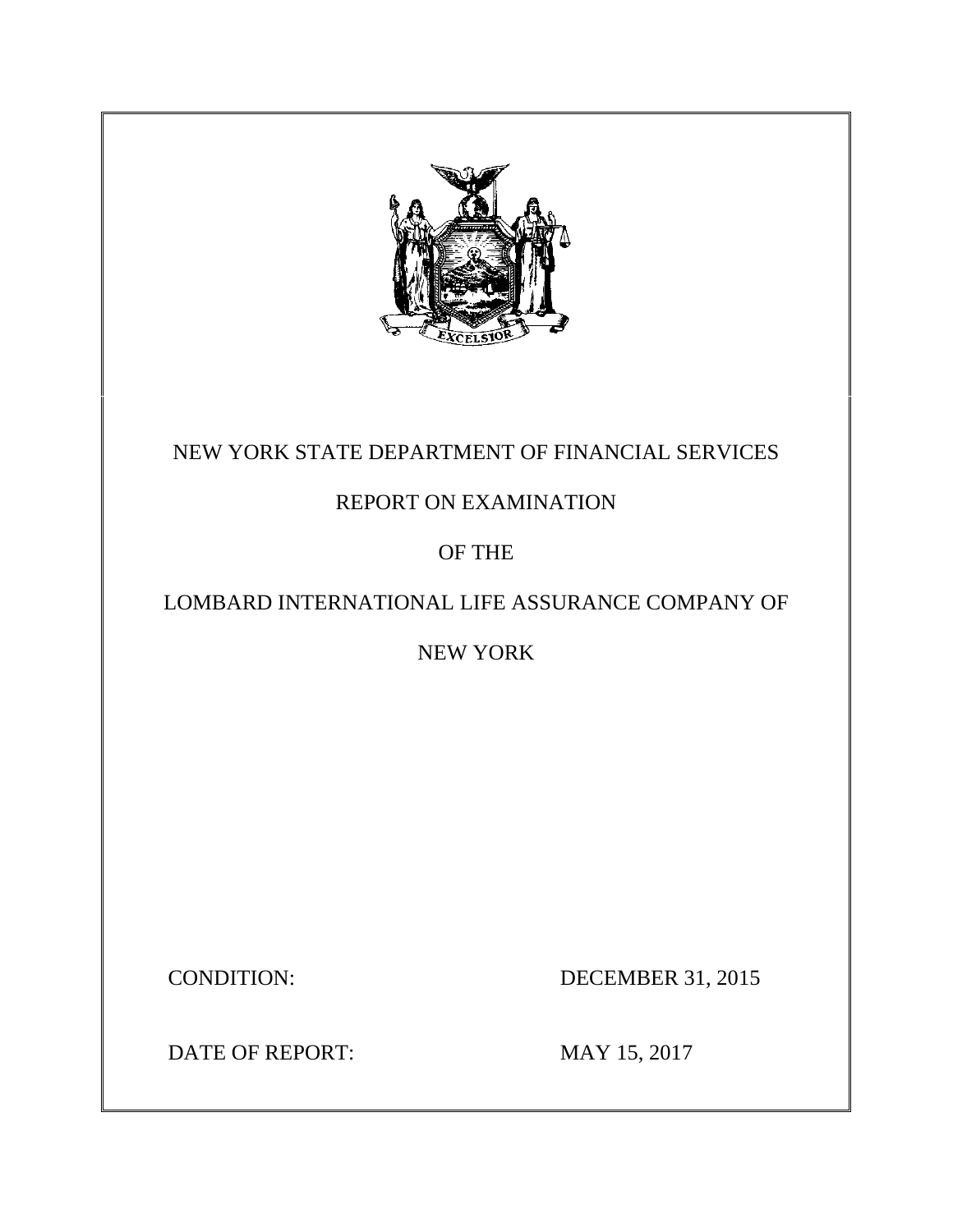

## NEW YORK STATE DEPARTMENT OF FINANCIAL SERVICES

## REPORT ON EXAMINATION

## OF THE

## LOMBARD INTERNATIONAL LIFE ASSURANCE COMPANY OF

## NEW YORK

CONDITION: DECEMBER 31, 2015

DATE OF REPORT: MAY 15, 2017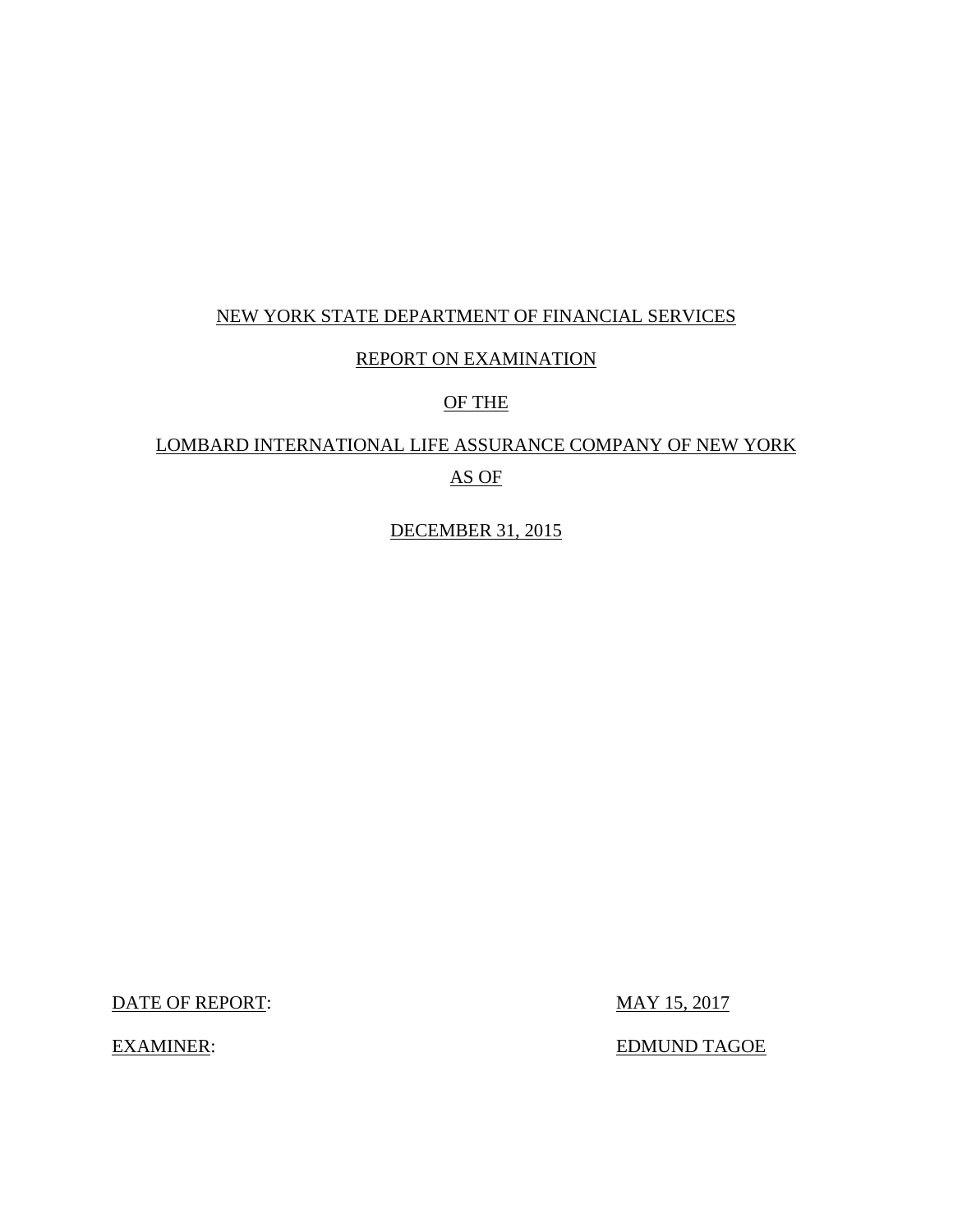### NEW YORK STATE DEPARTMENT OF FINANCIAL SERVICES

### REPORT ON EXAMINATION

### OF THE

## LOMBARD INTERNATIONAL LIFE ASSURANCE COMPANY OF NEW YORK AS OF

DECEMBER 31, 2015

DATE OF REPORT: MAY 15, 2017

EXAMINER: EDMUND TAGOE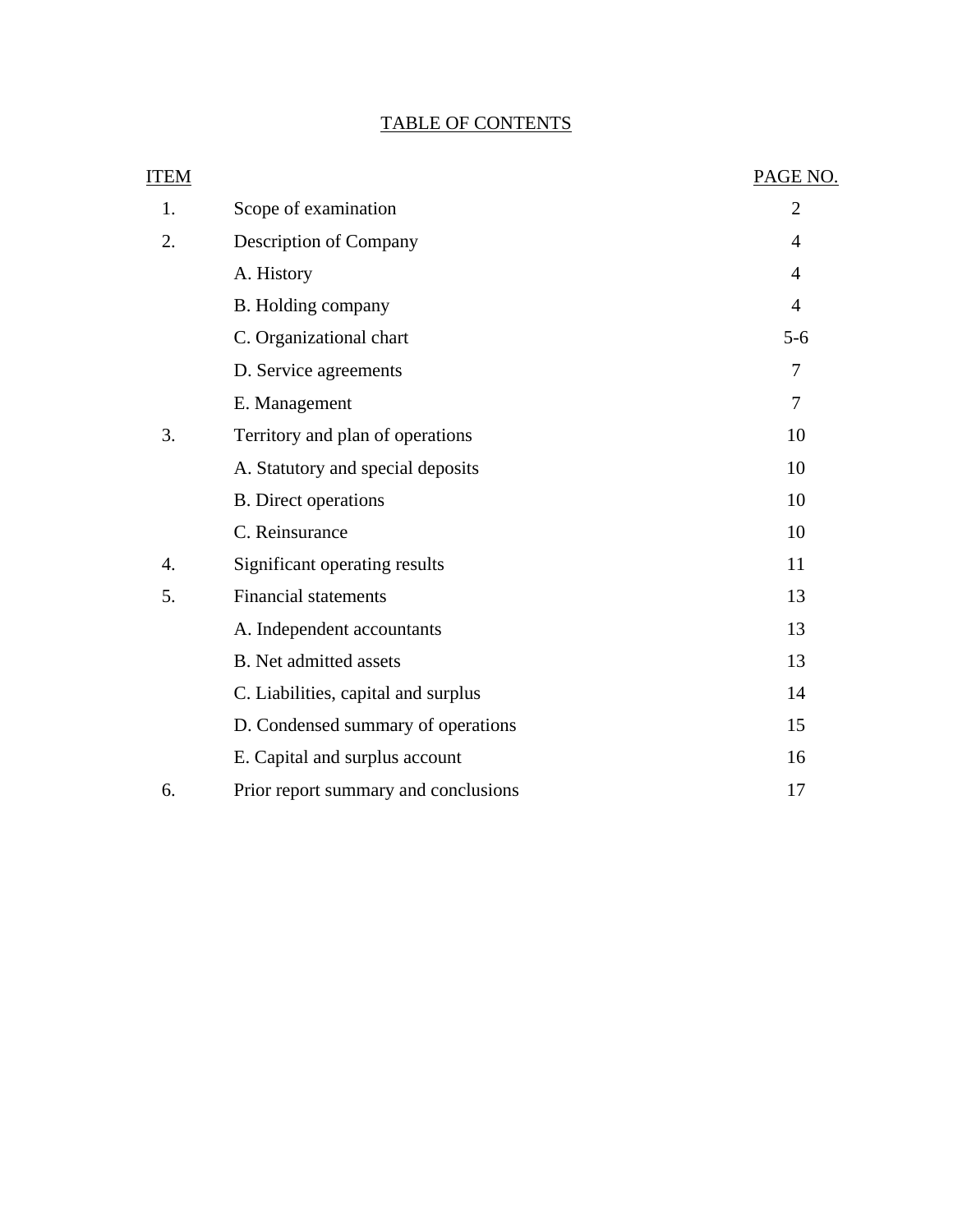### TABLE OF CONTENTS

| <b>ITEM</b>      |                                      | PAGE NO.       |
|------------------|--------------------------------------|----------------|
| 1.               | Scope of examination                 | $\overline{2}$ |
| 2.               | Description of Company               | $\overline{4}$ |
|                  | A. History                           | 4              |
|                  | B. Holding company                   | $\overline{4}$ |
|                  | C. Organizational chart              | $5-6$          |
|                  | D. Service agreements                | 7              |
|                  | E. Management                        | 7              |
| 3.               | Territory and plan of operations     | 10             |
|                  | A. Statutory and special deposits    | 10             |
|                  | <b>B.</b> Direct operations          | 10             |
|                  | C. Reinsurance                       | 10             |
| $\overline{4}$ . | Significant operating results        | 11             |
| 5.               | <b>Financial statements</b>          | 13             |
|                  | A. Independent accountants           | 13             |
|                  | <b>B.</b> Net admitted assets        | 13             |
|                  | C. Liabilities, capital and surplus  | 14             |
|                  | D. Condensed summary of operations   | 15             |
|                  | E. Capital and surplus account       | 16             |
| 6.               | Prior report summary and conclusions | 17             |
|                  |                                      |                |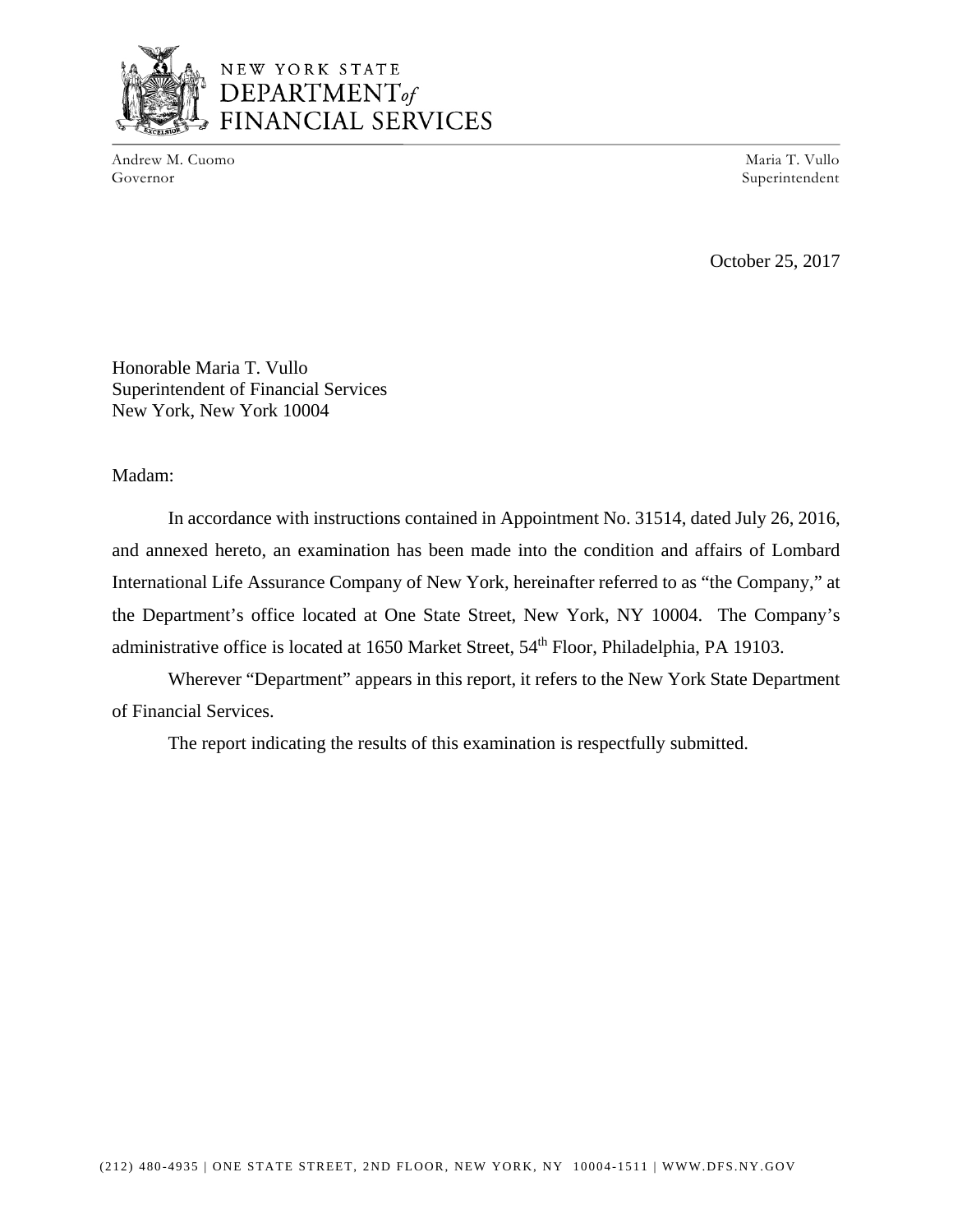

Andrew M. Cuomo Maria T. Vullo Governor Superintendent Superintendent Superintendent Superintendent Superintendent Superintendent Superintendent Superintendent Superintendent Superintendent Superintendent Superintendent Superintendent Superintendent Sup

October 25, 2017

Honorable Maria T. Vullo Superintendent of Financial Services New York, New York 10004

Madam:

In accordance with instructions contained in Appointment No. 31514, dated July 26, 2016, and annexed hereto, an examination has been made into the condition and affairs of Lombard International Life Assurance Company of New York, hereinafter referred to as "the Company," at the Department's office located at One State Street, New York, NY 10004. The Company's administrative office is located at 1650 Market Street, 54<sup>th</sup> Floor, Philadelphia, PA 19103.

Wherever "Department" appears in this report, it refers to the New York State Department of Financial Services.

The report indicating the results of this examination is respectfully submitted.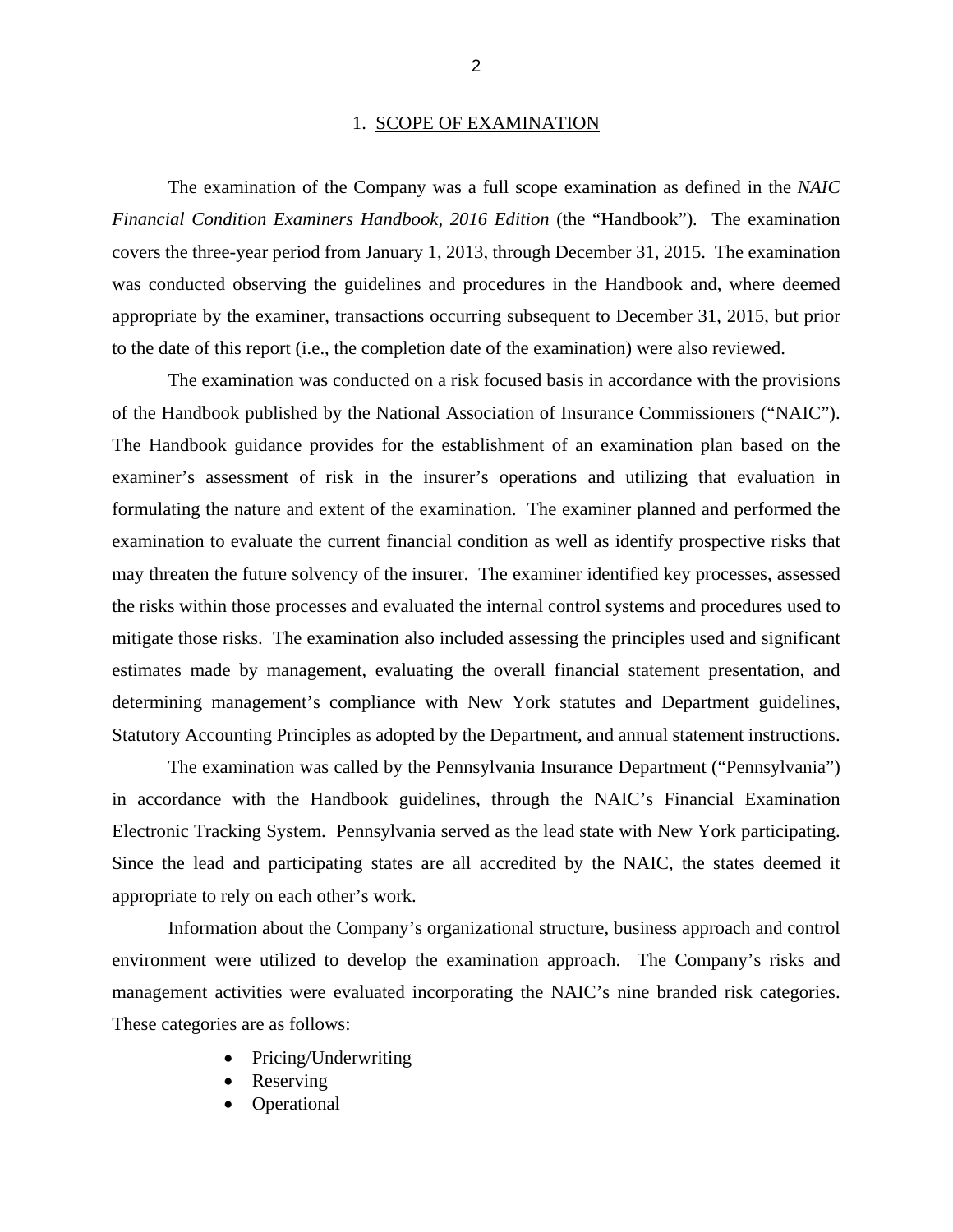#### 1. SCOPE OF EXAMINATION

The examination of the Company was a full scope examination as defined in the *NAIC Financial Condition Examiners Handbook, 2016 Edition* (the "Handbook"). The examination covers the three-year period from January 1, 2013, through December 31, 2015. The examination was conducted observing the guidelines and procedures in the Handbook and, where deemed appropriate by the examiner, transactions occurring subsequent to December 31, 2015, but prior to the date of this report (i.e., the completion date of the examination) were also reviewed.

The examination was conducted on a risk focused basis in accordance with the provisions of the Handbook published by the National Association of Insurance Commissioners ("NAIC"). The Handbook guidance provides for the establishment of an examination plan based on the examiner's assessment of risk in the insurer's operations and utilizing that evaluation in formulating the nature and extent of the examination. The examiner planned and performed the examination to evaluate the current financial condition as well as identify prospective risks that may threaten the future solvency of the insurer. The examiner identified key processes, assessed the risks within those processes and evaluated the internal control systems and procedures used to mitigate those risks. The examination also included assessing the principles used and significant estimates made by management, evaluating the overall financial statement presentation, and determining management's compliance with New York statutes and Department guidelines, Statutory Accounting Principles as adopted by the Department, and annual statement instructions.

The examination was called by the Pennsylvania Insurance Department ("Pennsylvania") in accordance with the Handbook guidelines, through the NAIC's Financial Examination Electronic Tracking System. Pennsylvania served as the lead state with New York participating. Since the lead and participating states are all accredited by the NAIC, the states deemed it appropriate to rely on each other's work.

Information about the Company's organizational structure, business approach and control environment were utilized to develop the examination approach. The Company's risks and management activities were evaluated incorporating the NAIC's nine branded risk categories. These categories are as follows:

- Pricing/Underwriting
- Reserving
- Operational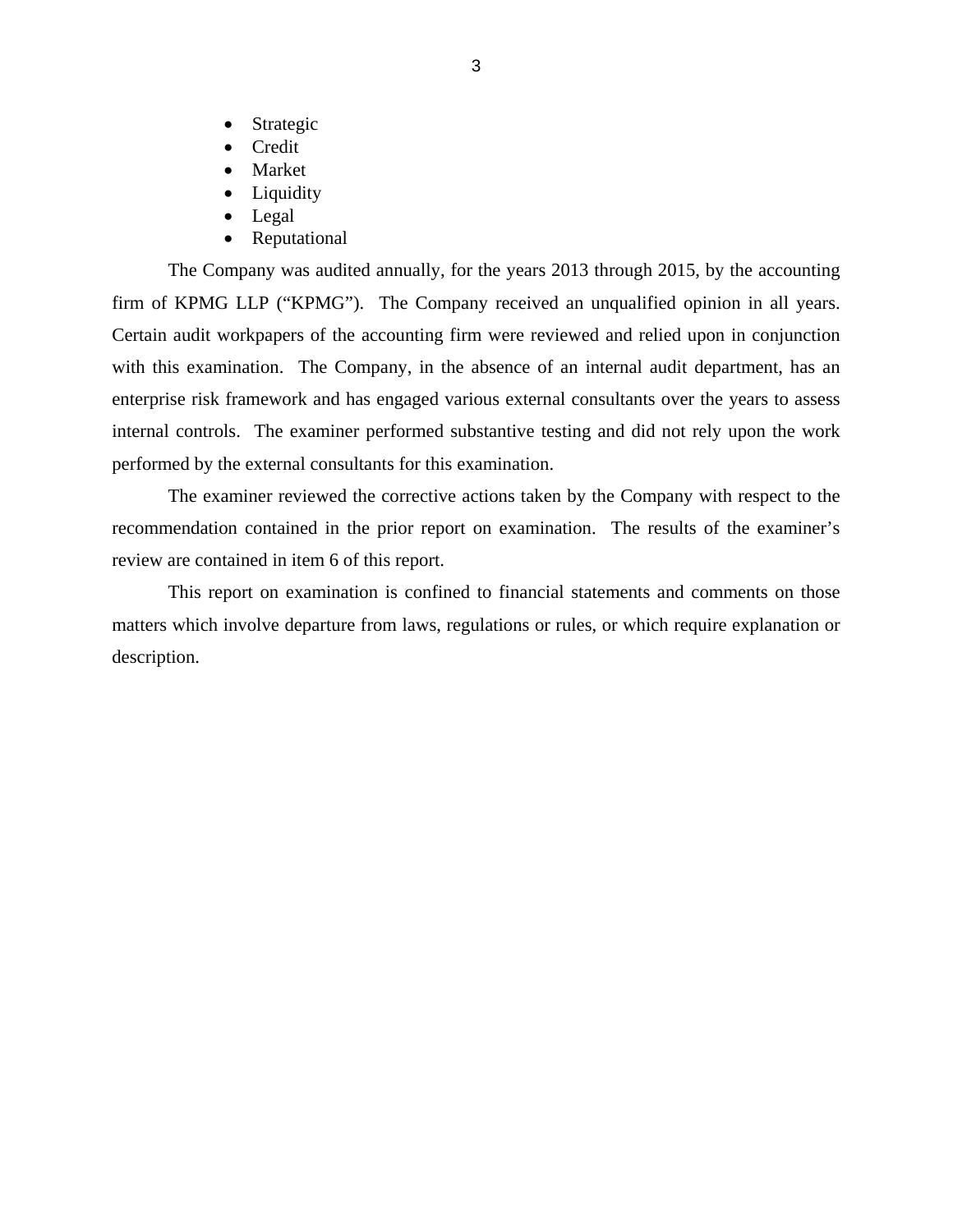- Strategic
- Credit
- Market
- Liquidity
- Legal
- Reputational

The Company was audited annually, for the years 2013 through 2015, by the accounting firm of KPMG LLP ("KPMG"). The Company received an unqualified opinion in all years. Certain audit workpapers of the accounting firm were reviewed and relied upon in conjunction with this examination. The Company, in the absence of an internal audit department, has an enterprise risk framework and has engaged various external consultants over the years to assess internal controls. The examiner performed substantive testing and did not rely upon the work performed by the external consultants for this examination.

The examiner reviewed the corrective actions taken by the Company with respect to the recommendation contained in the prior report on examination. The results of the examiner's review are contained in item 6 of this report.

This report on examination is confined to financial statements and comments on those matters which involve departure from laws, regulations or rules, or which require explanation or description.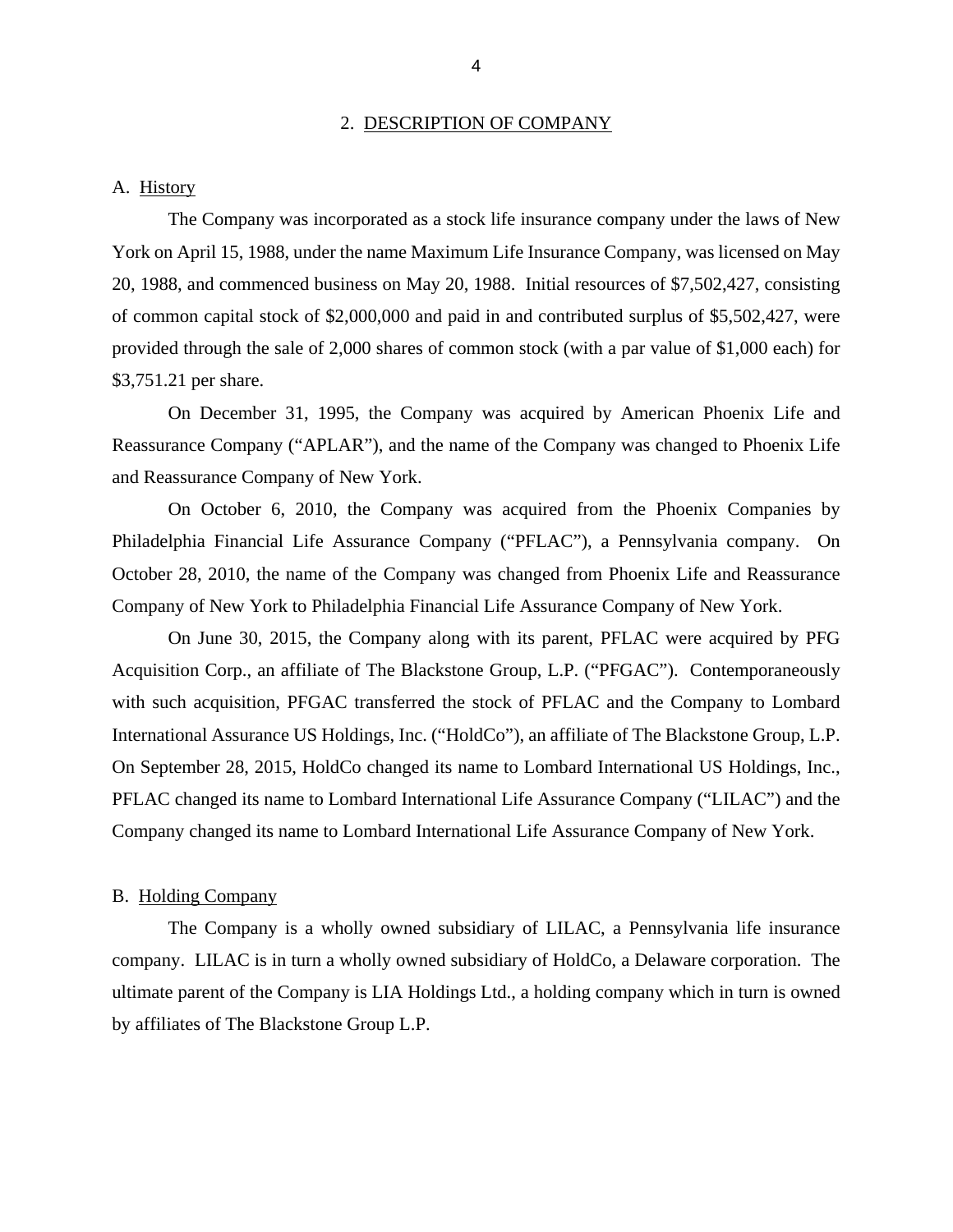#### 2. DESCRIPTION OF COMPANY

#### <span id="page-6-0"></span>A. History

The Company was incorporated as a stock life insurance company under the laws of New York on April 15, 1988, under the name Maximum Life Insurance Company, was licensed on May 20, 1988, and commenced business on May 20, 1988. Initial resources of \$7,502,427, consisting of common capital stock of \$2,000,000 and paid in and contributed surplus of \$5,502,427, were provided through the sale of 2,000 shares of common stock (with a par value of \$1,000 each) for [\\$3,751.21](https://3,751.21) per share.

On December 31, 1995, the Company was acquired by American Phoenix Life and Reassurance Company ("APLAR"), and the name of the Company was changed to Phoenix Life and Reassurance Company of New York.

On October 6, 2010, the Company was acquired from the Phoenix Companies by Philadelphia Financial Life Assurance Company ("PFLAC"), a Pennsylvania company. On October 28, 2010, the name of the Company was changed from Phoenix Life and Reassurance Company of New York to Philadelphia Financial Life Assurance Company of New York.

On June 30, 2015, the Company along with its parent, PFLAC were acquired by PFG Acquisition Corp., an affiliate of The Blackstone Group, L.P. ("PFGAC"). Contemporaneously with such acquisition, PFGAC transferred the stock of PFLAC and the Company to Lombard International Assurance US Holdings, Inc. ("HoldCo"), an affiliate of The Blackstone Group, L.P. On September 28, 2015, HoldCo changed its name to Lombard International US Holdings, Inc., PFLAC changed its name to Lombard International Life Assurance Company ("LILAC") and the Company changed its name to Lombard International Life Assurance Company of New York.

#### B. Holding Company

The Company is a wholly owned subsidiary of LILAC, a Pennsylvania life insurance company. LILAC is in turn a wholly owned subsidiary of HoldCo, a Delaware corporation. The ultimate parent of the Company is LIA Holdings Ltd., a holding company which in turn is owned by affiliates of The Blackstone Group L.P.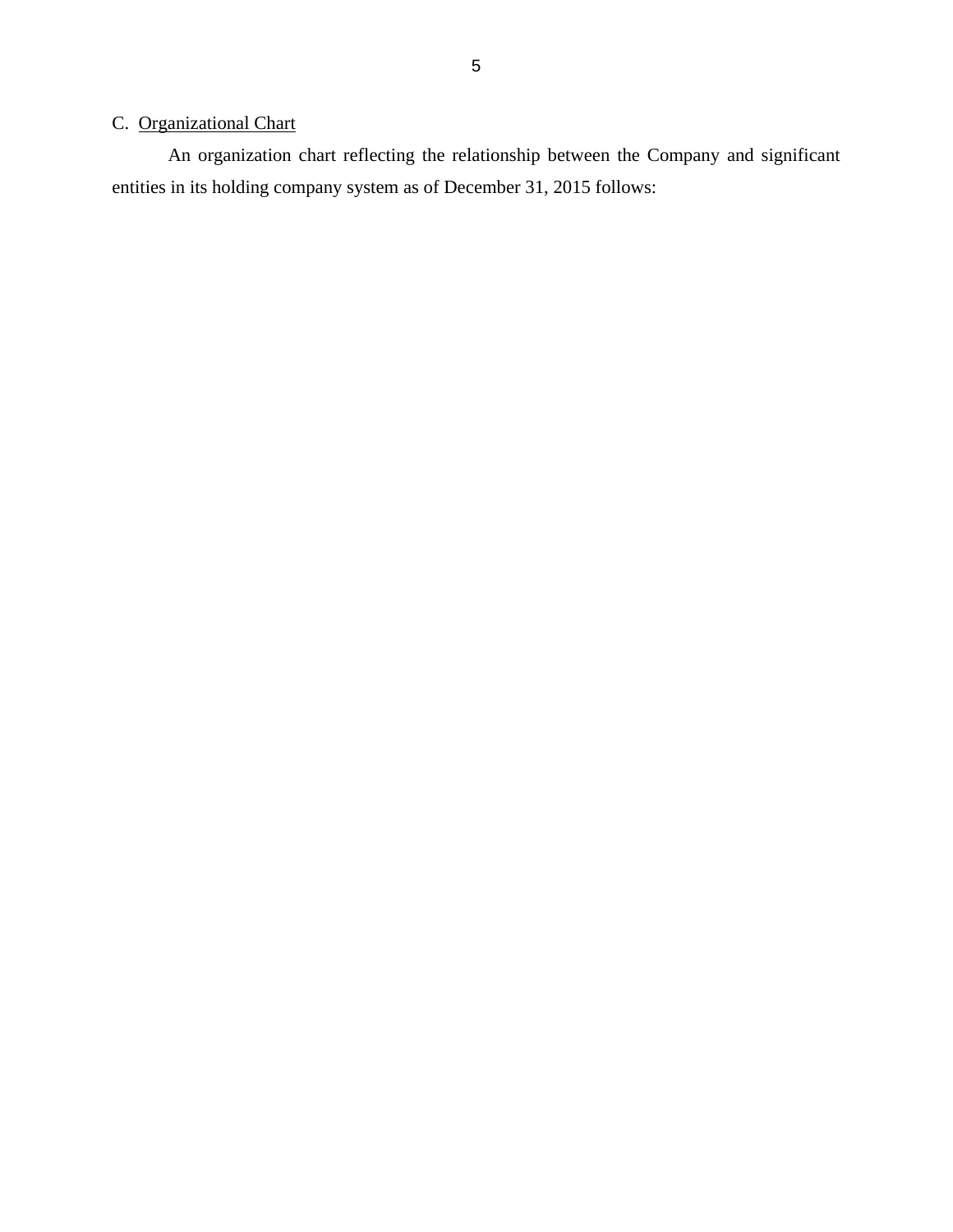### C. Organizational Chart

An organization chart reflecting the relationship between the Company and significant entities in its holding company system as of December 31, 2015 follows: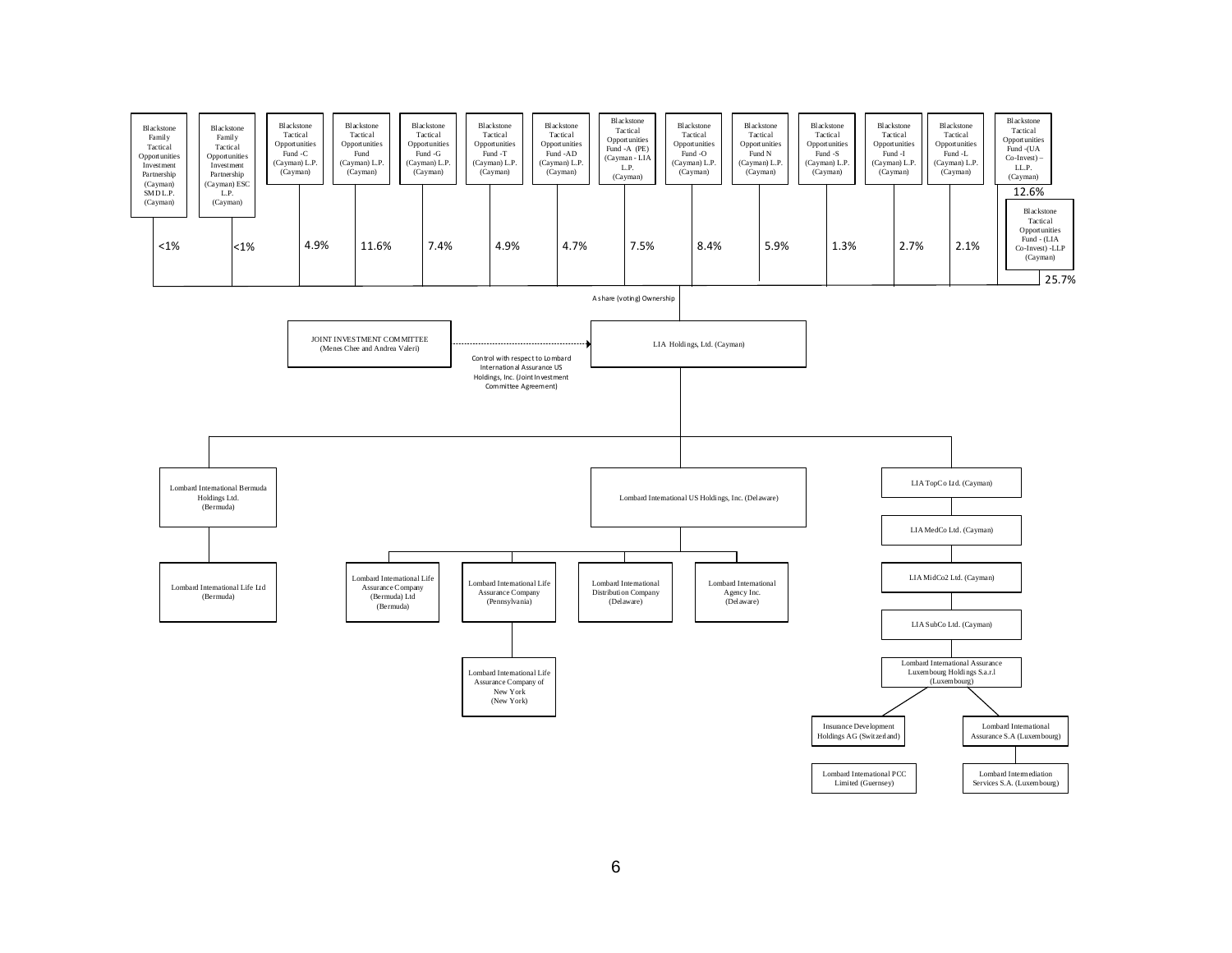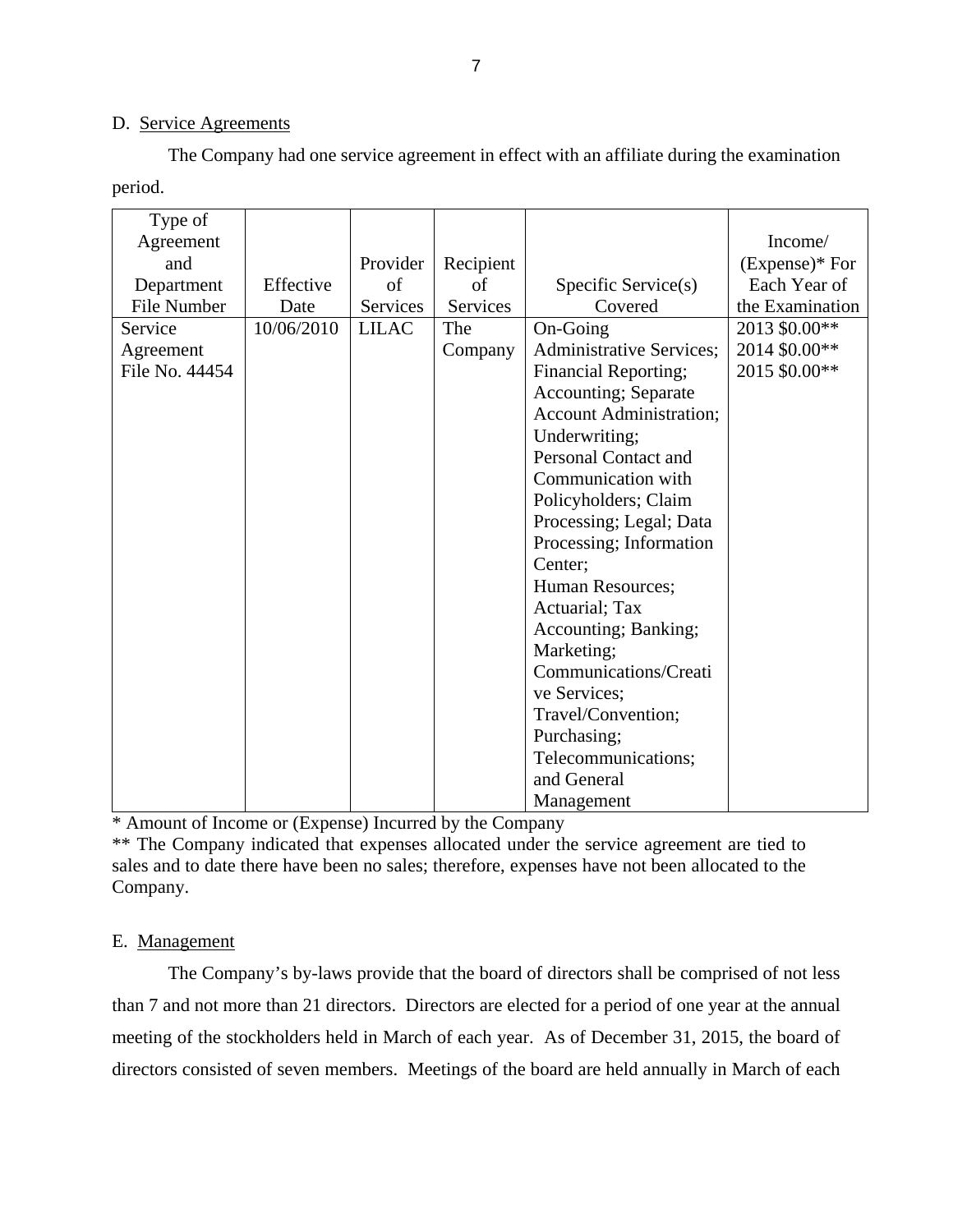#### D. Service Agreements

The Company had one service agreement in effect with an affiliate during the examination period.

| Type of        |            |              |           |                                 |                 |
|----------------|------------|--------------|-----------|---------------------------------|-----------------|
| Agreement      |            |              |           |                                 | Income/         |
| and            |            | Provider     | Recipient |                                 | $(Express)*For$ |
| Department     | Effective  | of           | οf        | Specific Service(s)             | Each Year of    |
| File Number    | Date       | Services     | Services  | Covered                         | the Examination |
| Service        | 10/06/2010 | <b>LILAC</b> | The       | On-Going                        | 2013 \$0.00**   |
| Agreement      |            |              | Company   | <b>Administrative Services;</b> | 2014 \$0.00**   |
| File No. 44454 |            |              |           | <b>Financial Reporting;</b>     | 2015 \$0.00**   |
|                |            |              |           | <b>Accounting</b> ; Separate    |                 |
|                |            |              |           | <b>Account Administration;</b>  |                 |
|                |            |              |           | Underwriting;                   |                 |
|                |            |              |           | Personal Contact and            |                 |
|                |            |              |           | Communication with              |                 |
|                |            |              |           | Policyholders; Claim            |                 |
|                |            |              |           | Processing; Legal; Data         |                 |
|                |            |              |           | Processing; Information         |                 |
|                |            |              |           | Center;                         |                 |
|                |            |              |           | Human Resources;                |                 |
|                |            |              |           | Actuarial; Tax                  |                 |
|                |            |              |           | Accounting; Banking;            |                 |
|                |            |              |           | Marketing;                      |                 |
|                |            |              |           | Communications/Creati           |                 |
|                |            |              |           | ve Services;                    |                 |
|                |            |              |           | Travel/Convention;              |                 |
|                |            |              |           | Purchasing;                     |                 |
|                |            |              |           | Telecommunications;             |                 |
|                |            |              |           | and General                     |                 |
|                |            |              |           | Management                      |                 |

\* Amount of Income or (Expense) Incurred by the Company

\*\* The Company indicated that expenses allocated under the service agreement are tied to sales and to date there have been no sales; therefore, expenses have not been allocated to the Company.

#### E. Management

The Company's by-laws provide that the board of directors shall be comprised of not less than 7 and not more than 21 directors. Directors are elected for a period of one year at the annual meeting of the stockholders held in March of each year. As of December 31, 2015, the board of directors consisted of seven members. Meetings of the board are held annually in March of each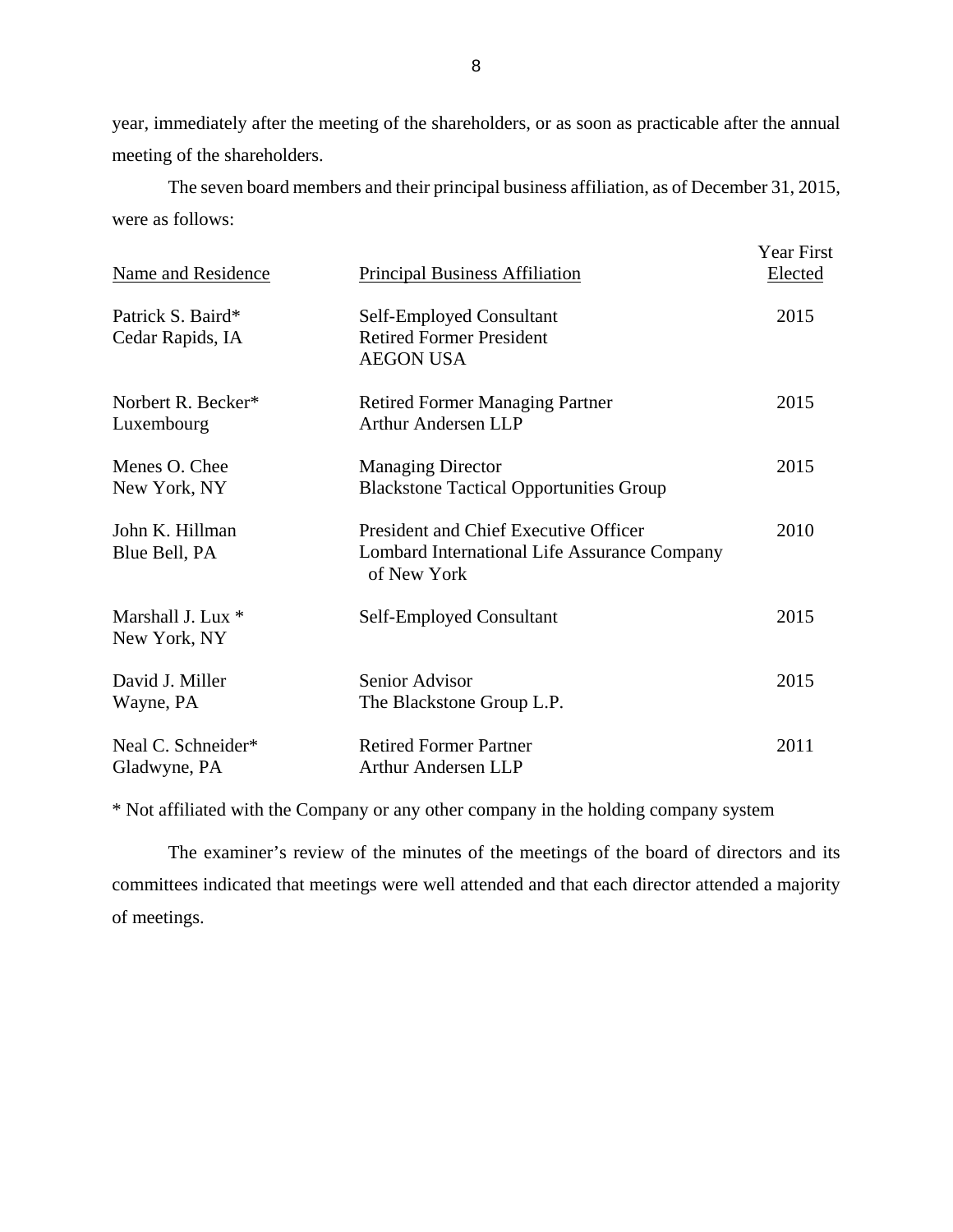year, immediately after the meeting of the shareholders, or as soon as practicable after the annual meeting of the shareholders.

The seven board members and their principal business affiliation, as of December 31, 2015, were as follows:

| <b>Name and Residence</b>             | <b>Principal Business Affiliation</b>                                                                | Year First<br><b>Elected</b> |
|---------------------------------------|------------------------------------------------------------------------------------------------------|------------------------------|
| Patrick S. Baird*<br>Cedar Rapids, IA | Self-Employed Consultant<br><b>Retired Former President</b><br><b>AEGON USA</b>                      | 2015                         |
| Norbert R. Becker*<br>Luxembourg      | <b>Retired Former Managing Partner</b><br><b>Arthur Andersen LLP</b>                                 | 2015                         |
| Menes O. Chee<br>New York, NY         | <b>Managing Director</b><br><b>Blackstone Tactical Opportunities Group</b>                           | 2015                         |
| John K. Hillman<br>Blue Bell, PA      | President and Chief Executive Officer<br>Lombard International Life Assurance Company<br>of New York | 2010                         |
| Marshall J. Lux *<br>New York, NY     | Self-Employed Consultant                                                                             | 2015                         |
| David J. Miller<br>Wayne, PA          | Senior Advisor<br>The Blackstone Group L.P.                                                          | 2015                         |
| Neal C. Schneider*<br>Gladwyne, PA    | <b>Retired Former Partner</b><br><b>Arthur Andersen LLP</b>                                          | 2011                         |

\* Not affiliated with the Company or any other company in the holding company system

The examiner's review of the minutes of the meetings of the board of directors and its committees indicated that meetings were well attended and that each director attended a majority of meetings.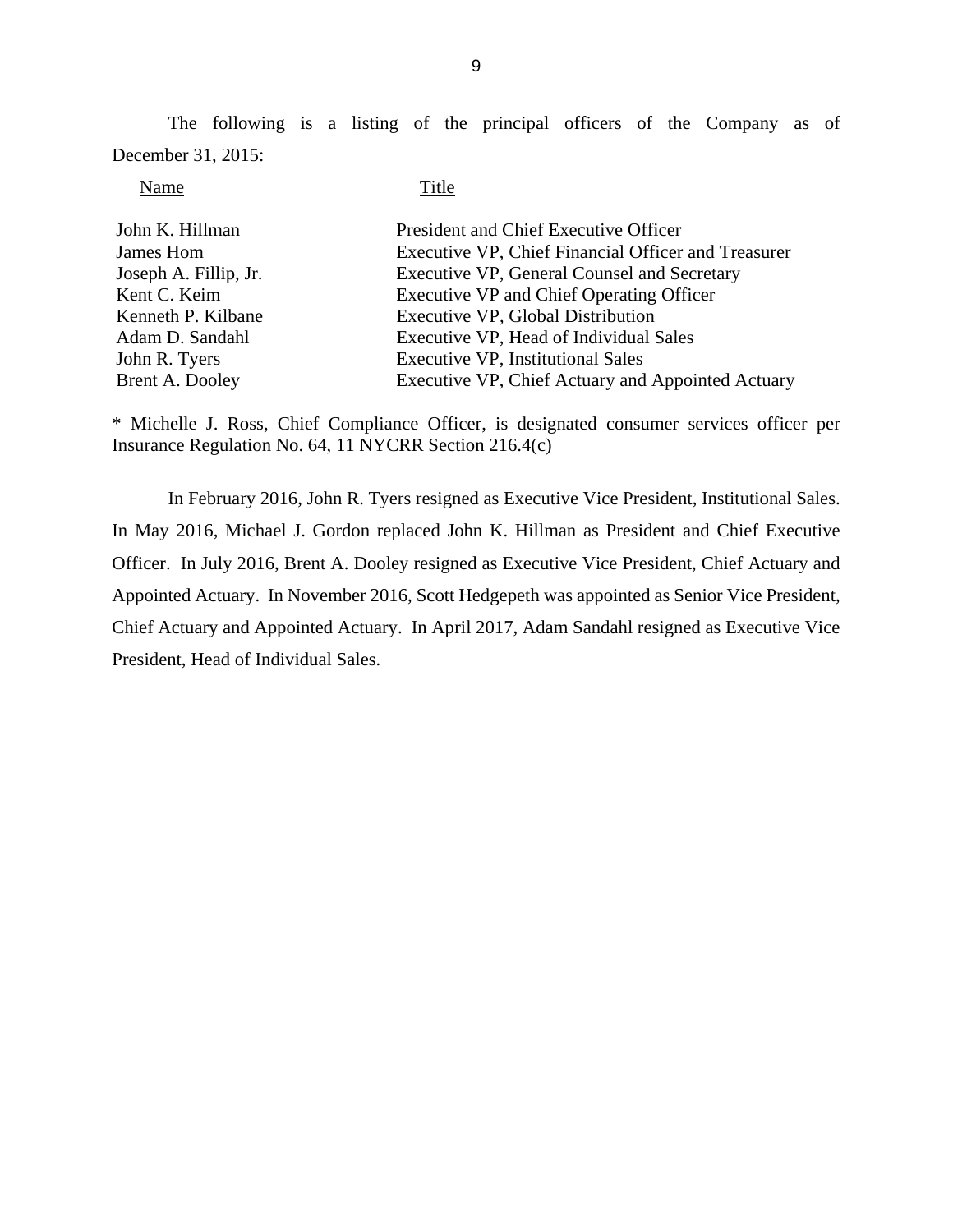The following is a listing of the principal officers of the Company as of December 31, 2015:

#### Name Title

| John K. Hillman       | President and Chief Executive Officer               |
|-----------------------|-----------------------------------------------------|
| James Hom             | Executive VP, Chief Financial Officer and Treasurer |
| Joseph A. Fillip, Jr. | Executive VP, General Counsel and Secretary         |
| Kent C. Keim          | Executive VP and Chief Operating Officer            |
| Kenneth P. Kilbane    | Executive VP, Global Distribution                   |
| Adam D. Sandahl       | Executive VP, Head of Individual Sales              |
| John R. Tyers         | <b>Executive VP, Institutional Sales</b>            |
| Brent A. Dooley       | Executive VP, Chief Actuary and Appointed Actuary   |

\* Michelle J. Ross, Chief Compliance Officer, is designated consumer services officer per Insurance Regulation No. 64, 11 NYCRR Section 216.4(c)

In February 2016, John R. Tyers resigned as Executive Vice President, Institutional Sales. In May 2016, Michael J. Gordon replaced John K. Hillman as President and Chief Executive Officer. In July 2016, Brent A. Dooley resigned as Executive Vice President, Chief Actuary and Appointed Actuary. In November 2016, Scott Hedgepeth was appointed as Senior Vice President, Chief Actuary and Appointed Actuary. In April 2017, Adam Sandahl resigned as Executive Vice President, Head of Individual Sales.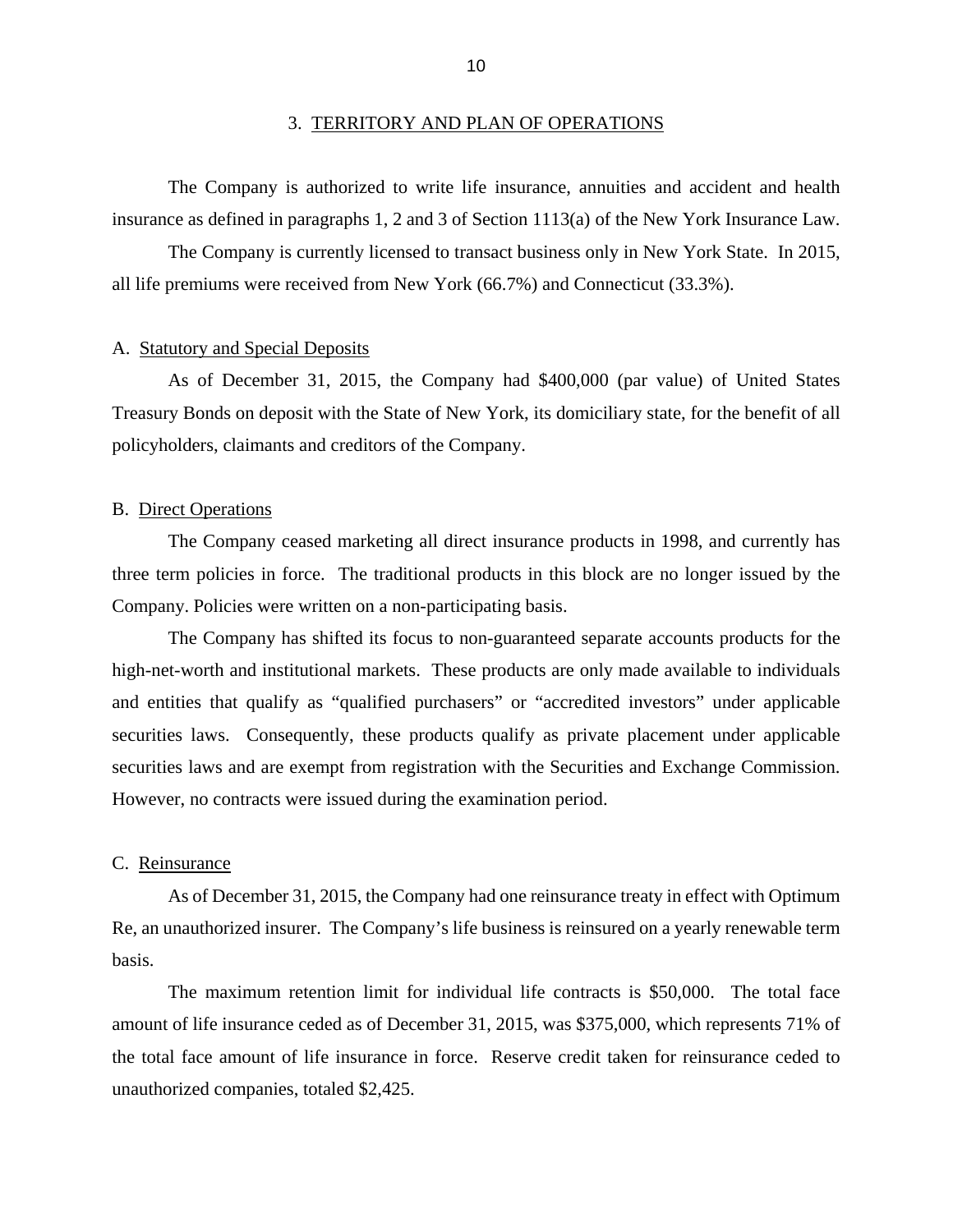<span id="page-12-0"></span>The Company is authorized to write life insurance, annuities and accident and health insurance as defined in paragraphs 1, 2 and 3 of Section 1113(a) of the New York Insurance Law.

The Company is currently licensed to transact business only in New York State. In 2015, all life premiums were received from New York (66.7%) and Connecticut (33.3%).

#### A. Statutory and Special Deposits

As of December 31, 2015, the Company had \$400,000 (par value) of United States Treasury Bonds on deposit with the State of New York, its domiciliary state, for the benefit of all policyholders, claimants and creditors of the Company.

#### B. Direct Operations

The Company ceased marketing all direct insurance products in 1998, and currently has three term policies in force. The traditional products in this block are no longer issued by the Company. Policies were written on a non-participating basis.

The Company has shifted its focus to non-guaranteed separate accounts products for the high-net-worth and institutional markets. These products are only made available to individuals and entities that qualify as "qualified purchasers" or "accredited investors" under applicable securities laws. Consequently, these products qualify as private placement under applicable securities laws and are exempt from registration with the Securities and Exchange Commission. However, no contracts were issued during the examination period.

#### C. Reinsurance

As of December 31, 2015, the Company had one reinsurance treaty in effect with Optimum Re, an unauthorized insurer. The Company's life business is reinsured on a yearly renewable term basis.

The maximum retention limit for individual life contracts is \$50,000. The total face amount of life insurance ceded as of December 31, 2015, was \$375,000, which represents 71% of the total face amount of life insurance in force. Reserve credit taken for reinsurance ceded to unauthorized companies, totaled \$2,425.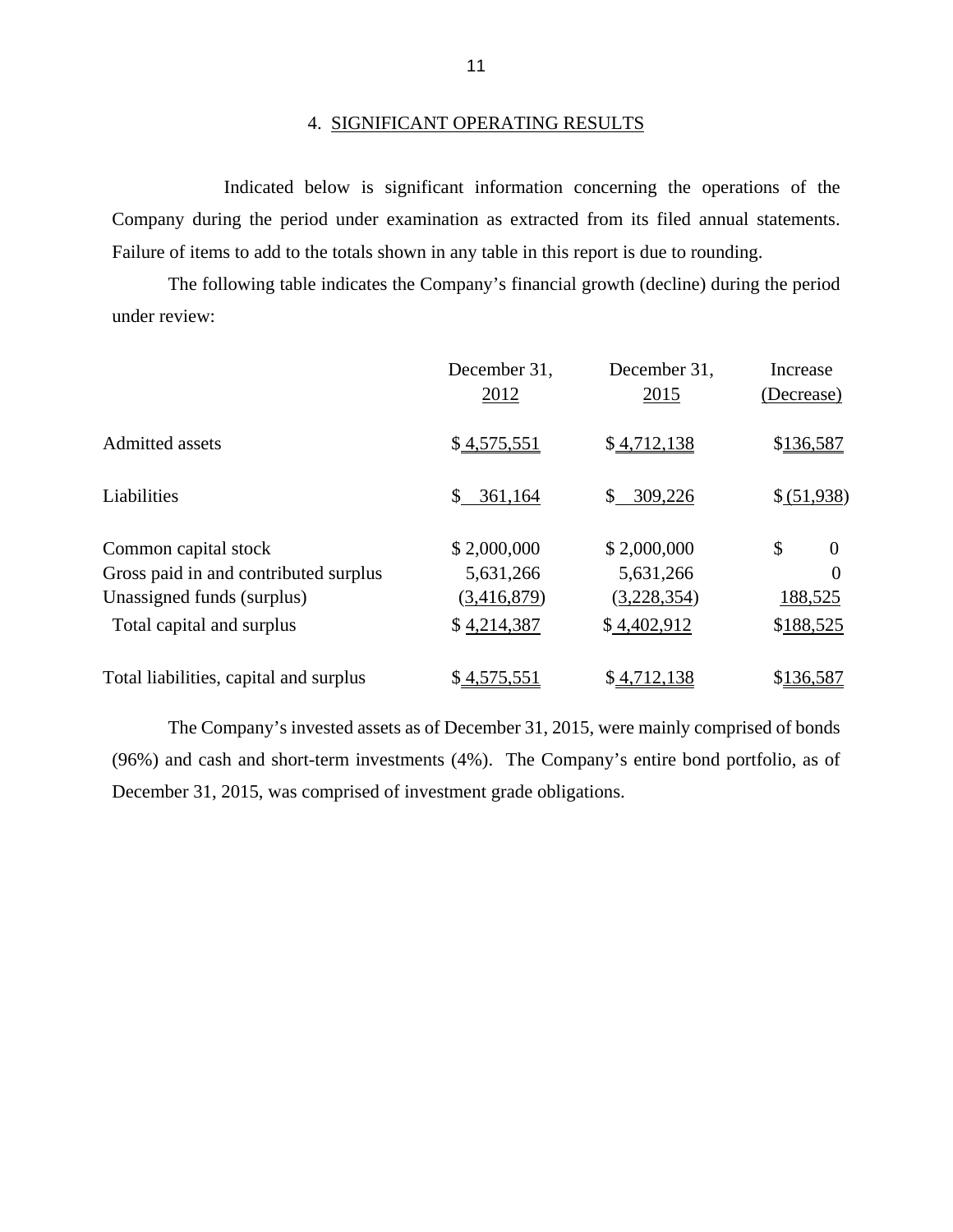Indicated below is significant information concerning the operations of the Company during the period under examination as extracted from its filed annual statements. Failure of items to add to the totals shown in any table in this report is due to rounding.

The following table indicates the Company's financial growth (decline) during the period under review:

|                                        | December 31,  | December 31,  | Increase       |
|----------------------------------------|---------------|---------------|----------------|
|                                        | 2012          | 2015          | (Decrease)     |
| <b>Admitted assets</b>                 | \$4,575,551   | \$4,712,138   | \$136,587      |
| Liabilities                            | 361,164<br>\$ | 309,226<br>S. | \$ (51,938)    |
| Common capital stock                   | \$2,000,000   | \$2,000,000   | \$<br>$\theta$ |
| Gross paid in and contributed surplus  | 5,631,266     | 5,631,266     | $\overline{0}$ |
| Unassigned funds (surplus)             | (3,416,879)   | (3,228,354)   | 188,525        |
| Total capital and surplus              | \$4,214,387   | \$4,402,912   | \$188,525      |
| Total liabilities, capital and surplus | \$4,575,551   | \$4,712,138   | \$136,587      |

The Company's invested assets as of December 31, 2015, were mainly comprised of bonds (96%) and cash and short-term investments (4%). The Company's entire bond portfolio, as of December 31, 2015, was comprised of investment grade obligations.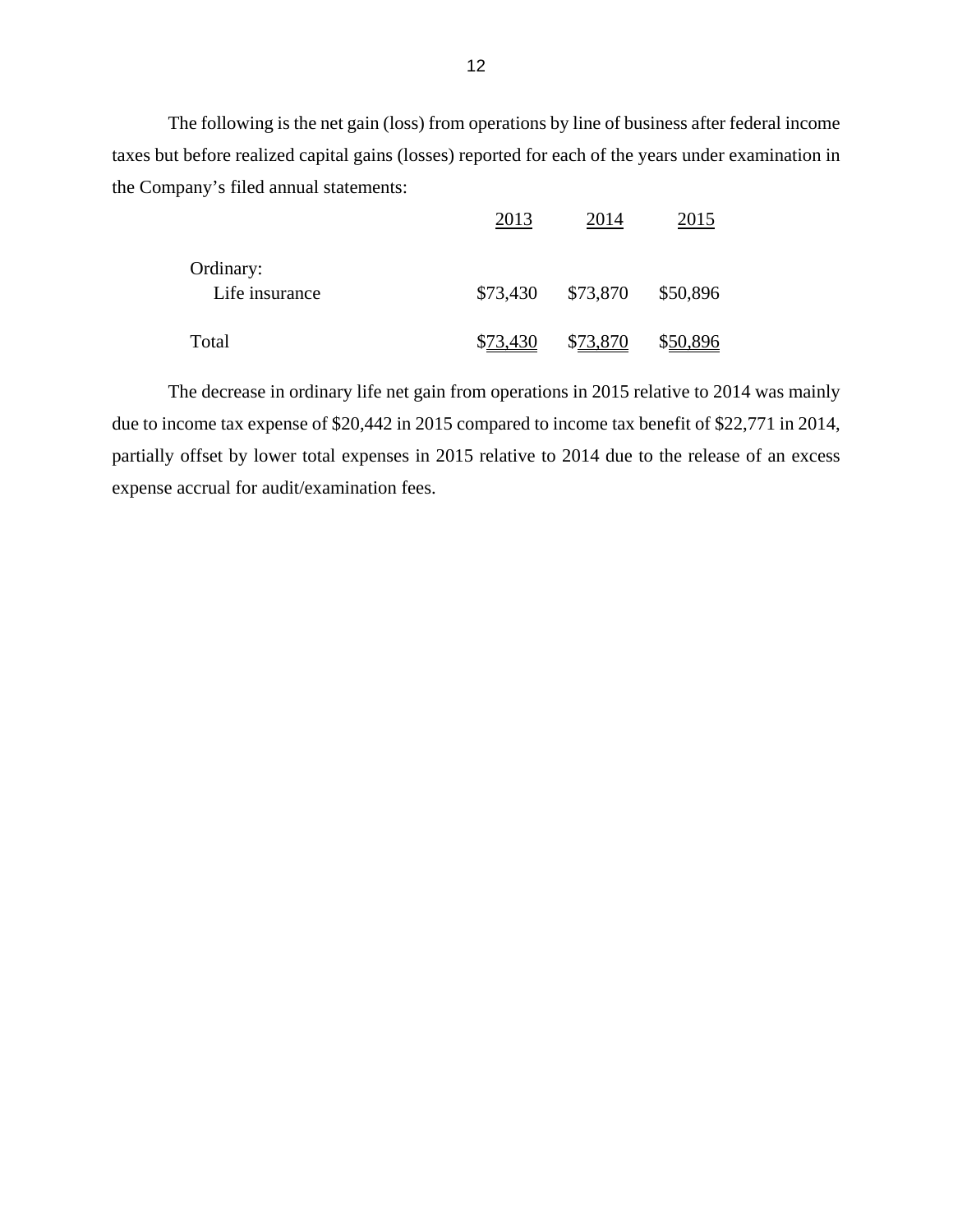The following is the net gain (loss) from operations by line of business after federal income taxes but before realized capital gains (losses) reported for each of the years under examination in the Company's filed annual statements:

|                | 2013     | 2014     | 2015     |
|----------------|----------|----------|----------|
| Ordinary:      |          |          |          |
| Life insurance | \$73,430 | \$73,870 | \$50,896 |
| Total          | \$73,430 | \$73,870 | \$50,896 |

The decrease in ordinary life net gain from operations in 2015 relative to 2014 was mainly due to income tax expense of \$20,442 in 2015 compared to income tax benefit of \$22,771 in 2014, partially offset by lower total expenses in 2015 relative to 2014 due to the release of an excess expense accrual for audit/examination fees.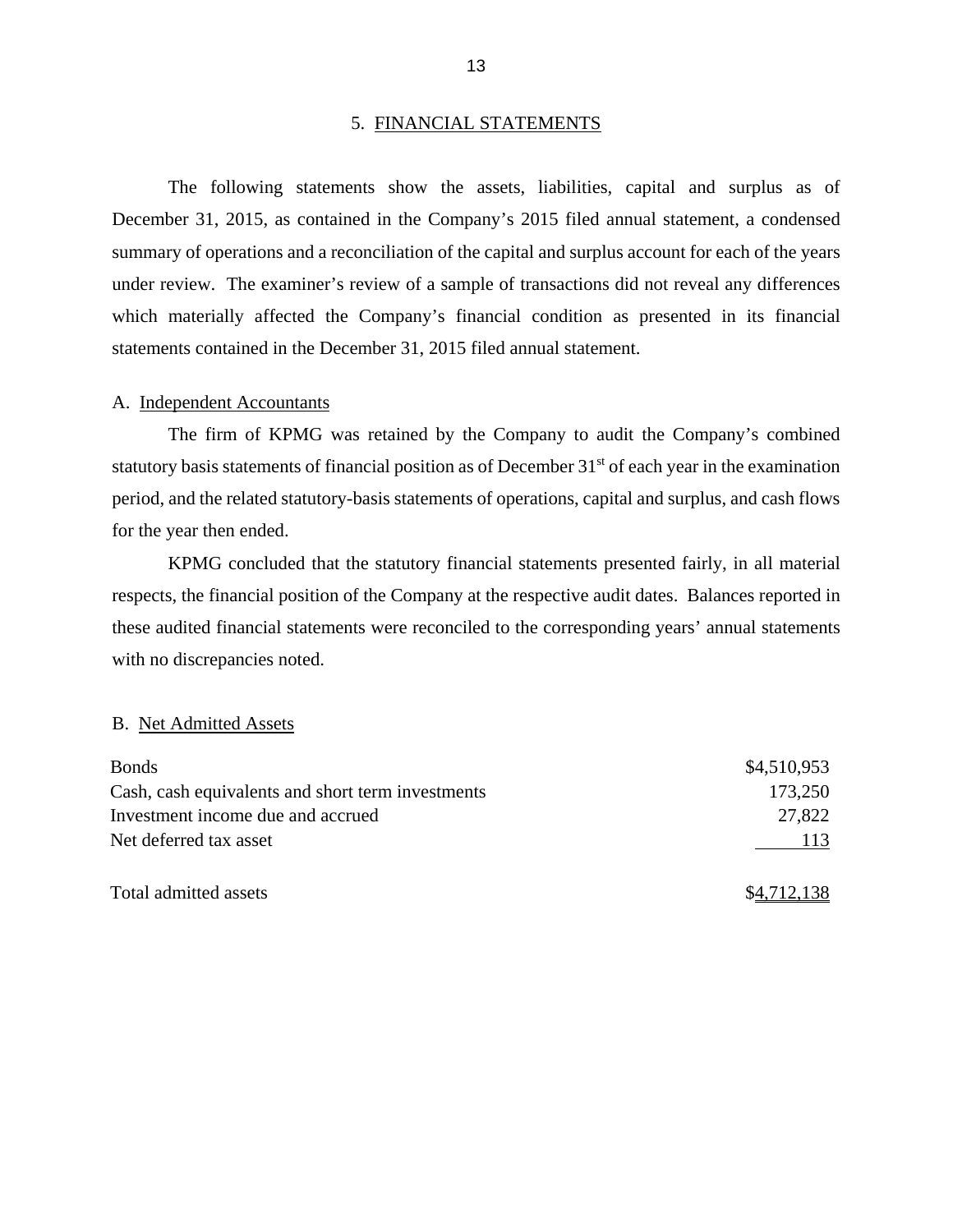#### 5. FINANCIAL STATEMENTS

The following statements show the assets, liabilities, capital and surplus as of December 31, 2015, as contained in the Company's 2015 filed annual statement, a condensed summary of operations and a reconciliation of the capital and surplus account for each of the years under review. The examiner's review of a sample of transactions did not reveal any differences which materially affected the Company's financial condition as presented in its financial statements contained in the December 31, 2015 filed annual statement.

#### A. Independent Accountants

The firm of KPMG was retained by the Company to audit the Company's combined statutory basis statements of financial position as of December 31<sup>st</sup> of each year in the examination period, and the related statutory-basis statements of operations, capital and surplus, and cash flows for the year then ended.

KPMG concluded that the statutory financial statements presented fairly, in all material respects, the financial position of the Company at the respective audit dates. Balances reported in these audited financial statements were reconciled to the corresponding years' annual statements with no discrepancies noted.

#### B. Net Admitted Assets

| <b>Bonds</b>                                      | \$4,510,953 |
|---------------------------------------------------|-------------|
| Cash, cash equivalents and short term investments | 173,250     |
| Investment income due and accrued                 | 27,822      |
| Net deferred tax asset                            | 113         |
| Total admitted assets                             | \$4,712,138 |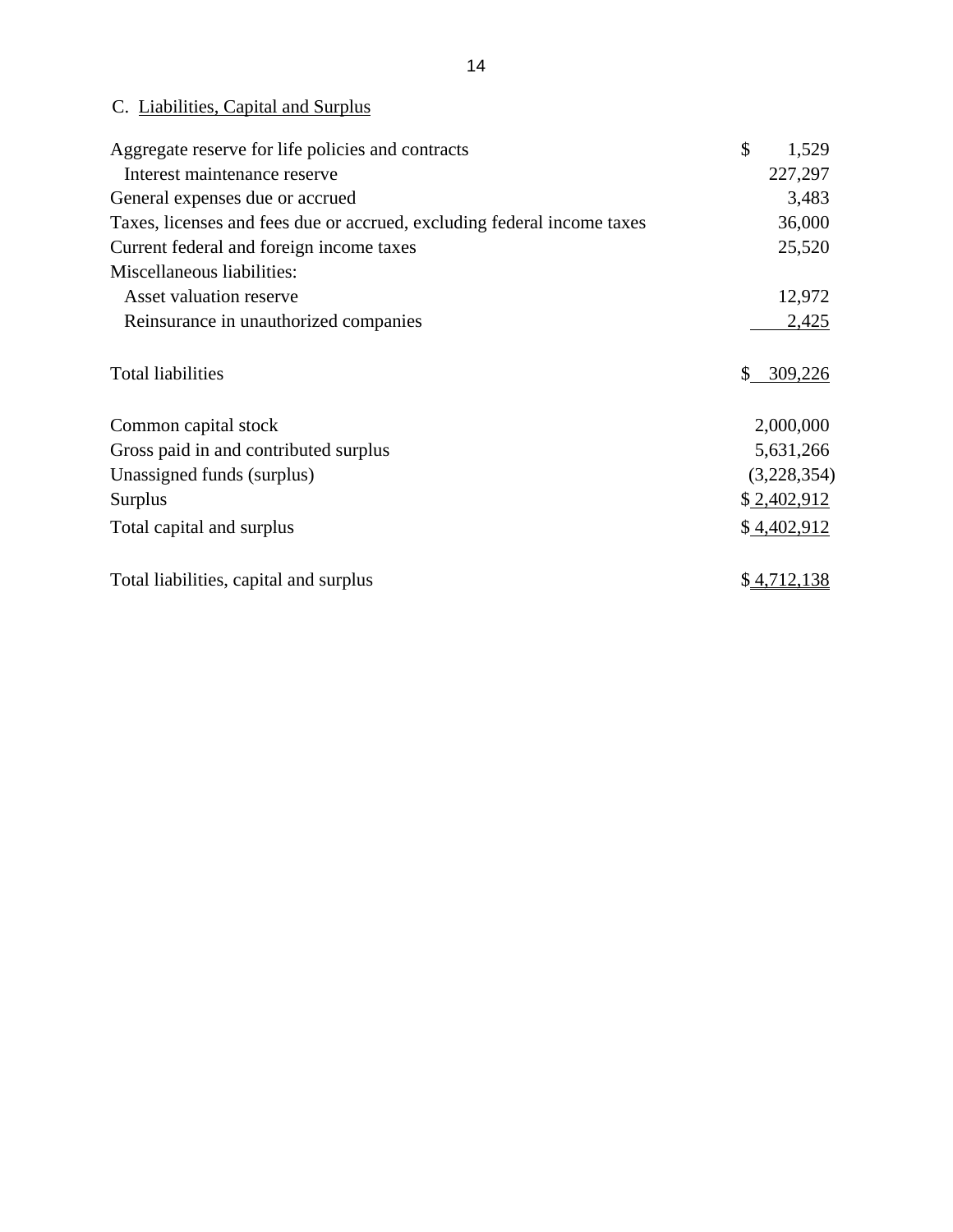### <span id="page-16-0"></span>C. Liabilities, Capital and Surplus

| Aggregate reserve for life policies and contracts                       | \$<br>1,529   |
|-------------------------------------------------------------------------|---------------|
| Interest maintenance reserve                                            | 227,297       |
| General expenses due or accrued                                         | 3,483         |
| Taxes, licenses and fees due or accrued, excluding federal income taxes | 36,000        |
| Current federal and foreign income taxes                                | 25,520        |
| Miscellaneous liabilities:                                              |               |
| Asset valuation reserve                                                 | 12,972        |
| Reinsurance in unauthorized companies                                   | 2,425         |
| <b>Total liabilities</b>                                                | \$<br>309,226 |
| Common capital stock                                                    | 2,000,000     |
| Gross paid in and contributed surplus                                   | 5,631,266     |
| Unassigned funds (surplus)                                              | (3,228,354)   |
| <b>Surplus</b>                                                          | \$2,402,912   |
| Total capital and surplus                                               | \$4,402,912   |
| Total liabilities, capital and surplus                                  | \$4,712,138   |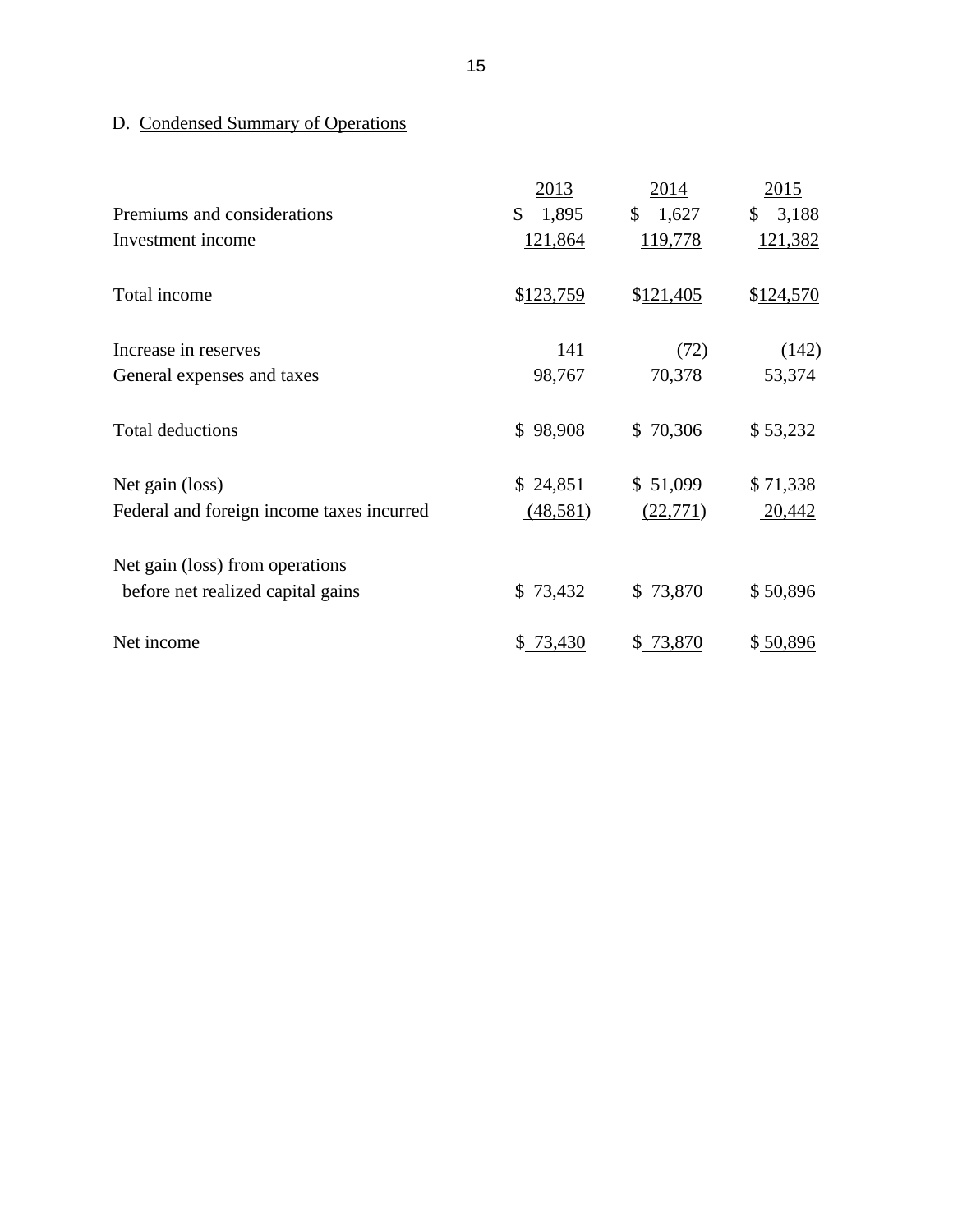## D. Condensed Summary of Operations

|                                           | 2013        | 2014        | 2015        |
|-------------------------------------------|-------------|-------------|-------------|
| Premiums and considerations               | \$<br>1,895 | 1,627<br>\$ | 3,188<br>\$ |
| Investment income                         | 121,864     | 119,778     | 121,382     |
| Total income                              | \$123,759   | \$121,405   | \$124,570   |
| Increase in reserves                      | 141         | (72)        | (142)       |
| General expenses and taxes                | 98,767      | 70,378      | 53,374      |
| <b>Total deductions</b>                   | \$98,908    | \$70,306    | \$53,232    |
| Net gain (loss)                           | \$24,851    | \$51,099    | \$71,338    |
| Federal and foreign income taxes incurred | (48,581)    | (22, 771)   | 20,442      |
| Net gain (loss) from operations           |             |             |             |
| before net realized capital gains         | \$73,432    | \$73,870    | \$50,896    |
| Net income                                | \$ 73,430   | \$73,870    | \$50,896    |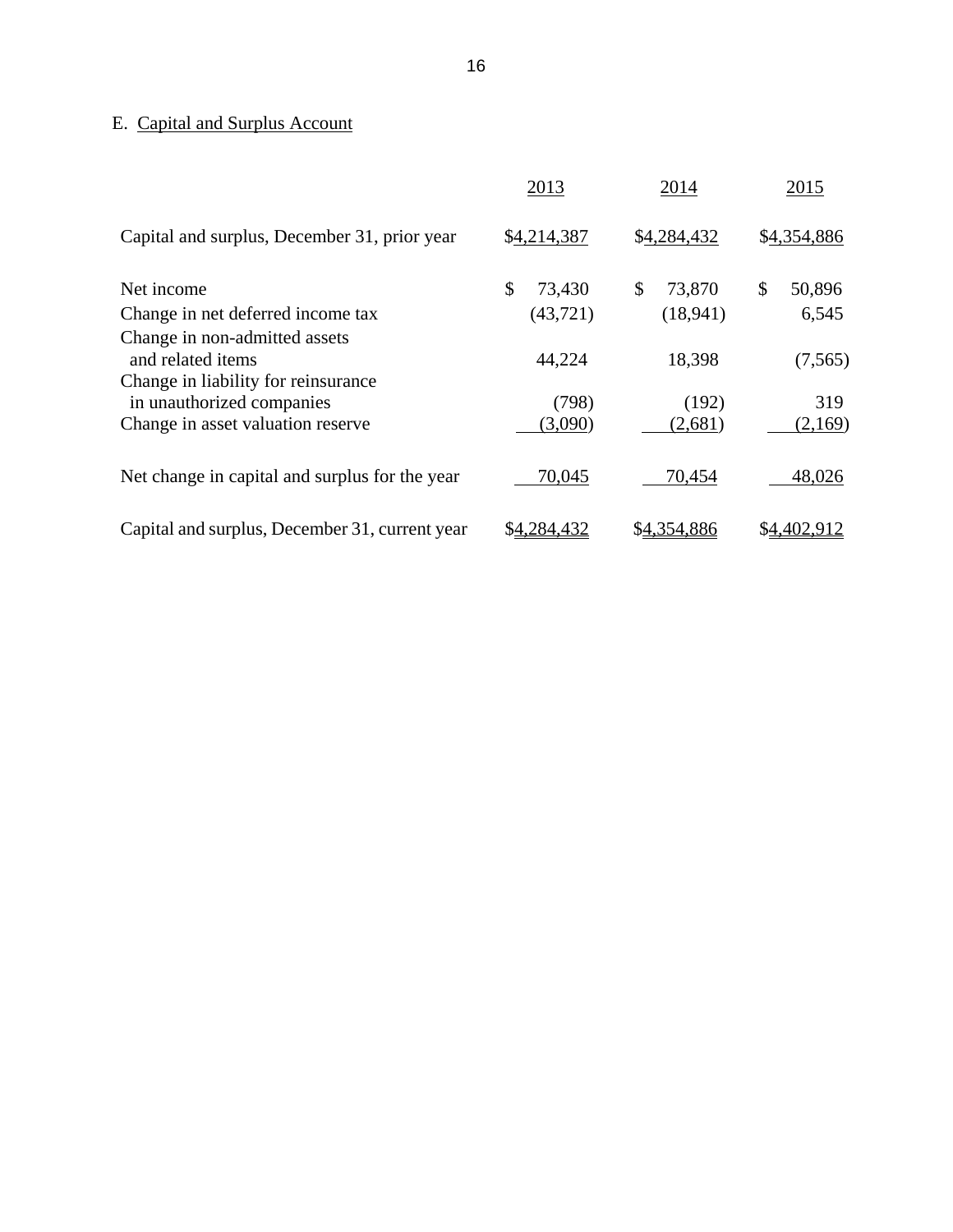### E. Capital and Surplus Account

|                                                                  | 2013         | 2014         | 2015         |
|------------------------------------------------------------------|--------------|--------------|--------------|
| Capital and surplus, December 31, prior year                     | \$4,214,387  | \$4,284,432  | \$4,354,886  |
| Net income                                                       | \$<br>73,430 | \$<br>73,870 | \$<br>50,896 |
| Change in net deferred income tax                                | (43, 721)    | (18,941)     | 6,545        |
| Change in non-admitted assets<br>and related items               | 44,224       | 18,398       | (7, 565)     |
| Change in liability for reinsurance<br>in unauthorized companies | (798)        | (192)        | 319          |
| Change in asset valuation reserve                                | (3,090)      | (2,681)      | (2,169)      |
| Net change in capital and surplus for the year                   | 70,045       | 70,454       | 48,026       |
| Capital and surplus, December 31, current year                   | \$4,284,432  | \$4,354,886  | \$4,402,912  |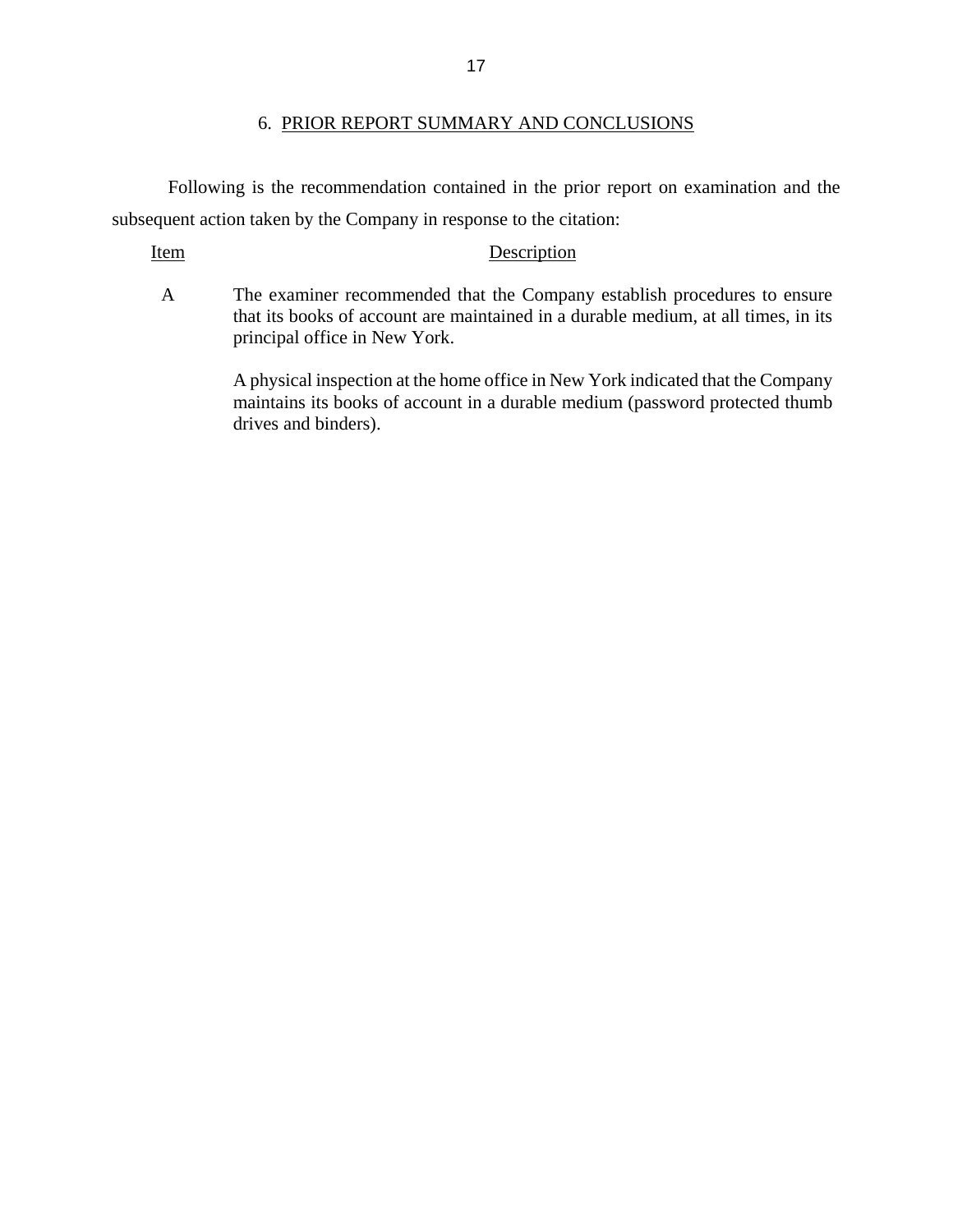#### 6. PRIOR REPORT SUMMARY AND CONCLUSIONS

<span id="page-19-0"></span>Following is the recommendation contained in the prior report on examination and the subsequent action taken by the Company in response to the citation:

#### Item Description

A The examiner recommended that the Company establish procedures to ensure that its books of account are maintained in a durable medium, at all times, in its principal office in New York.

> A physical inspection at the home office in New York indicated that the Company maintains its books of account in a durable medium (password protected thumb drives and binders).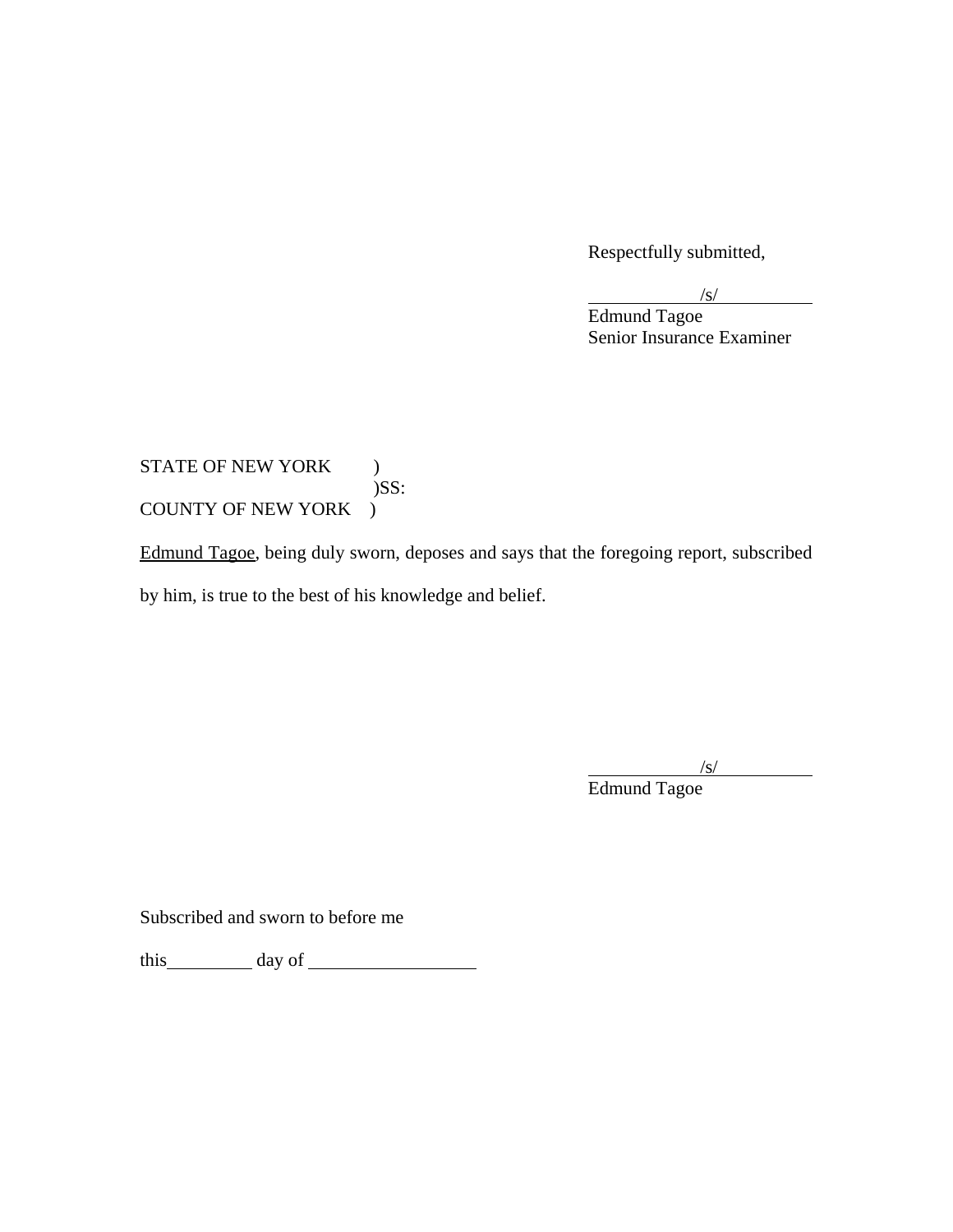Respectfully submitted,

 $\sqrt{s}$  $\sqrt{s}$ 

 Senior Insurance Examiner Edmund Tagoe

### STATE OF NEW YORK ) )SS: COUNTY OF NEW YORK )

Edmund Tagoe, being duly sworn, deposes and says that the foregoing report, subscribed by him, is true to the best of his knowledge and belief.

 $\frac{1}{s}$ 

Edmund Tagoe

Subscribed and sworn to before me

this day of